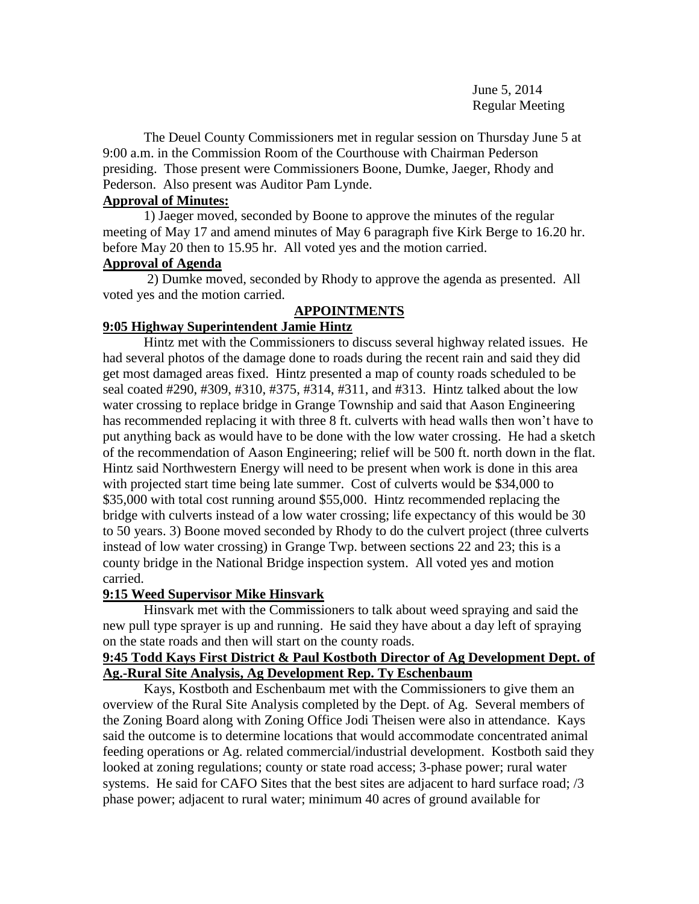June 5, 2014 Regular Meeting

The Deuel County Commissioners met in regular session on Thursday June 5 at 9:00 a.m. in the Commission Room of the Courthouse with Chairman Pederson presiding. Those present were Commissioners Boone, Dumke, Jaeger, Rhody and Pederson. Also present was Auditor Pam Lynde.

## **Approval of Minutes:**

1) Jaeger moved, seconded by Boone to approve the minutes of the regular meeting of May 17 and amend minutes of May 6 paragraph five Kirk Berge to 16.20 hr. before May 20 then to 15.95 hr. All voted yes and the motion carried.

# **Approval of Agenda**

2) Dumke moved, seconded by Rhody to approve the agenda as presented. All voted yes and the motion carried.

# **APPOINTMENTS**

# **9:05 Highway Superintendent Jamie Hintz**

Hintz met with the Commissioners to discuss several highway related issues. He had several photos of the damage done to roads during the recent rain and said they did get most damaged areas fixed. Hintz presented a map of county roads scheduled to be seal coated #290, #309, #310, #375, #314, #311, and #313. Hintz talked about the low water crossing to replace bridge in Grange Township and said that Aason Engineering has recommended replacing it with three 8 ft. culverts with head walls then won't have to put anything back as would have to be done with the low water crossing. He had a sketch of the recommendation of Aason Engineering; relief will be 500 ft. north down in the flat. Hintz said Northwestern Energy will need to be present when work is done in this area with projected start time being late summer. Cost of culverts would be \$34,000 to \$35,000 with total cost running around \$55,000. Hintz recommended replacing the bridge with culverts instead of a low water crossing; life expectancy of this would be 30 to 50 years. 3) Boone moved seconded by Rhody to do the culvert project (three culverts instead of low water crossing) in Grange Twp. between sections 22 and 23; this is a county bridge in the National Bridge inspection system. All voted yes and motion carried.

# **9:15 Weed Supervisor Mike Hinsvark**

Hinsvark met with the Commissioners to talk about weed spraying and said the new pull type sprayer is up and running. He said they have about a day left of spraying on the state roads and then will start on the county roads.

## **9:45 Todd Kays First District & Paul Kostboth Director of Ag Development Dept. of Ag.-Rural Site Analysis, Ag Development Rep. Ty Eschenbaum**

Kays, Kostboth and Eschenbaum met with the Commissioners to give them an overview of the Rural Site Analysis completed by the Dept. of Ag. Several members of the Zoning Board along with Zoning Office Jodi Theisen were also in attendance. Kays said the outcome is to determine locations that would accommodate concentrated animal feeding operations or Ag. related commercial/industrial development. Kostboth said they looked at zoning regulations; county or state road access; 3-phase power; rural water systems. He said for CAFO Sites that the best sites are adjacent to hard surface road; /3 phase power; adjacent to rural water; minimum 40 acres of ground available for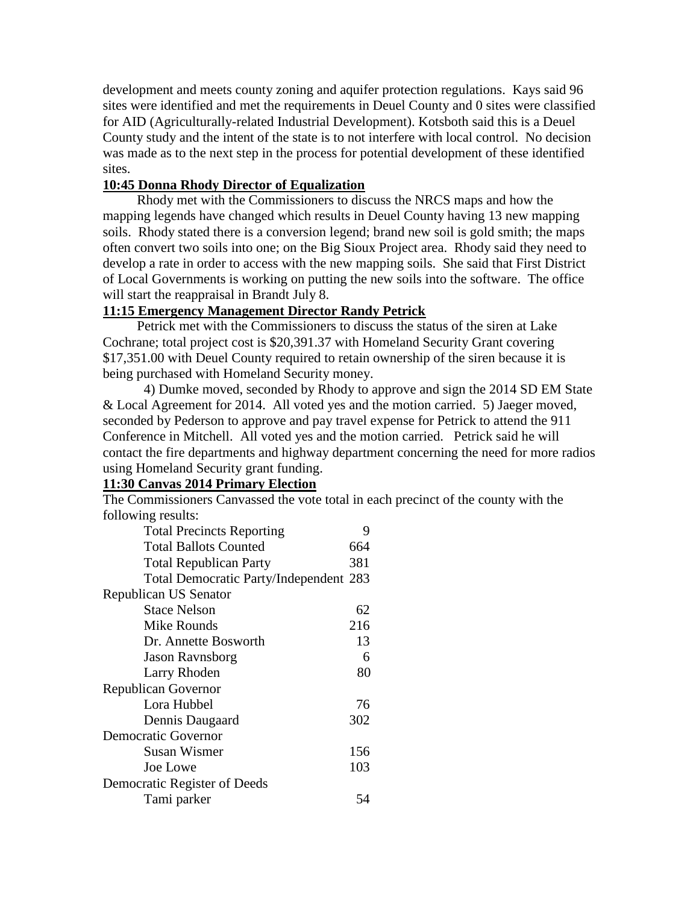development and meets county zoning and aquifer protection regulations. Kays said 96 sites were identified and met the requirements in Deuel County and 0 sites were classified for AID (Agriculturally-related Industrial Development). Kotsboth said this is a Deuel County study and the intent of the state is to not interfere with local control. No decision was made as to the next step in the process for potential development of these identified sites.

### **10:45 Donna Rhody Director of Equalization**

 Rhody met with the Commissioners to discuss the NRCS maps and how the mapping legends have changed which results in Deuel County having 13 new mapping soils. Rhody stated there is a conversion legend; brand new soil is gold smith; the maps often convert two soils into one; on the Big Sioux Project area. Rhody said they need to develop a rate in order to access with the new mapping soils. She said that First District of Local Governments is working on putting the new soils into the software. The office will start the reappraisal in Brandt July 8.

## **11:15 Emergency Management Director Randy Petrick**

 Petrick met with the Commissioners to discuss the status of the siren at Lake Cochrane; total project cost is \$20,391.37 with Homeland Security Grant covering \$17,351.00 with Deuel County required to retain ownership of the siren because it is being purchased with Homeland Security money.

4) Dumke moved, seconded by Rhody to approve and sign the 2014 SD EM State & Local Agreement for 2014. All voted yes and the motion carried. 5) Jaeger moved, seconded by Pederson to approve and pay travel expense for Petrick to attend the 911 Conference in Mitchell. All voted yes and the motion carried. Petrick said he will contact the fire departments and highway department concerning the need for more radios using Homeland Security grant funding.

## **11:30 Canvas 2014 Primary Election**

The Commissioners Canvassed the vote total in each precinct of the county with the following results:

| <b>Total Precincts Reporting</b>       | 9   |  |
|----------------------------------------|-----|--|
| <b>Total Ballots Counted</b>           | 664 |  |
| <b>Total Republican Party</b>          | 381 |  |
| Total Democratic Party/Independent 283 |     |  |
| Republican US Senator                  |     |  |
| <b>Stace Nelson</b>                    | 62  |  |
| Mike Rounds                            | 216 |  |
| Dr. Annette Bosworth                   | 13  |  |
| <b>Jason Ravnsborg</b>                 | 6   |  |
| Larry Rhoden                           | 80  |  |
| <b>Republican Governor</b>             |     |  |
| Lora Hubbel                            | 76  |  |
| Dennis Daugaard                        | 302 |  |
| <b>Democratic Governor</b>             |     |  |
| Susan Wismer                           | 156 |  |
| Joe Lowe                               | 103 |  |
| Democratic Register of Deeds           |     |  |
| Tami parker                            | 54  |  |
|                                        |     |  |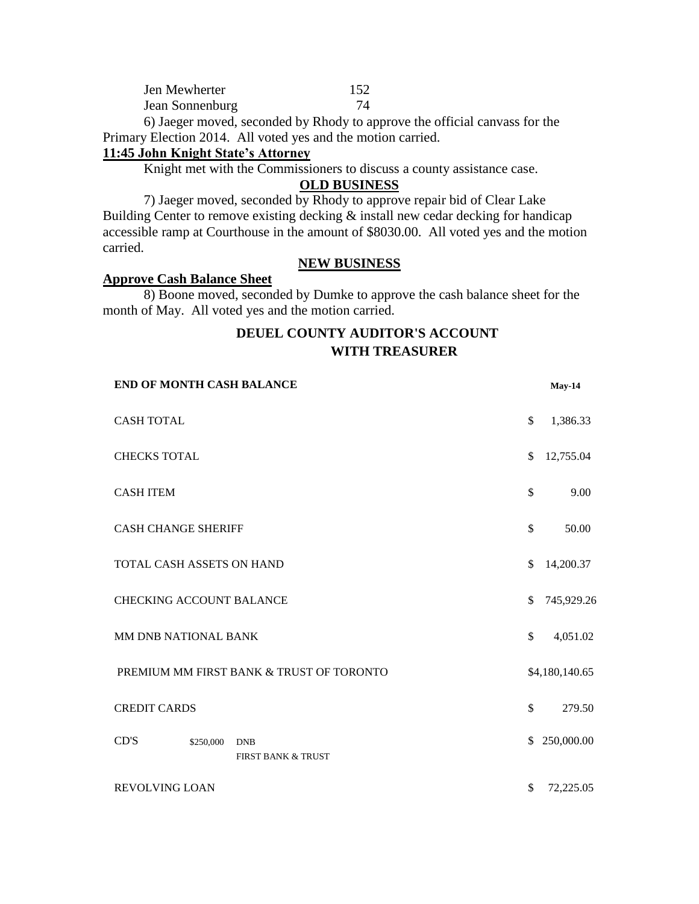| Jen Mewherter   | 152 |
|-----------------|-----|
| Jean Sonnenburg | 74  |

6) Jaeger moved, seconded by Rhody to approve the official canvass for the Primary Election 2014. All voted yes and the motion carried.

## **11:45 John Knight State's Attorney**

Knight met with the Commissioners to discuss a county assistance case.

#### **OLD BUSINESS**

7) Jaeger moved, seconded by Rhody to approve repair bid of Clear Lake Building Center to remove existing decking  $\&$  install new cedar decking for handicap accessible ramp at Courthouse in the amount of \$8030.00. All voted yes and the motion carried.

### **NEW BUSINESS**

#### **Approve Cash Balance Sheet**

8) Boone moved, seconded by Dumke to approve the cash balance sheet for the month of May. All voted yes and the motion carried.

# **DEUEL COUNTY AUDITOR'S ACCOUNT WITH TREASURER**

| <b>END OF MONTH CASH BALANCE</b> |           |                                          |              | <b>May-14</b>  |
|----------------------------------|-----------|------------------------------------------|--------------|----------------|
| <b>CASH TOTAL</b>                | \$        | 1,386.33                                 |              |                |
| <b>CHECKS TOTAL</b>              | \$        | 12,755.04                                |              |                |
| <b>CASH ITEM</b>                 | \$        | 9.00                                     |              |                |
| <b>CASH CHANGE SHERIFF</b>       |           |                                          | \$           | 50.00          |
| TOTAL CASH ASSETS ON HAND        |           |                                          | \$           | 14,200.37      |
| <b>CHECKING ACCOUNT BALANCE</b>  |           |                                          |              | 745,929.26     |
| MM DNB NATIONAL BANK             |           |                                          | \$           | 4,051.02       |
|                                  |           | PREMIUM MM FIRST BANK & TRUST OF TORONTO |              | \$4,180,140.65 |
| <b>CREDIT CARDS</b>              |           |                                          | $\mathbb{S}$ | 279.50         |
| CD'S                             | \$250,000 | <b>DNB</b><br>FIRST BANK & TRUST         | \$.          | 250,000.00     |
| <b>REVOLVING LOAN</b>            |           |                                          | \$           | 72,225.05      |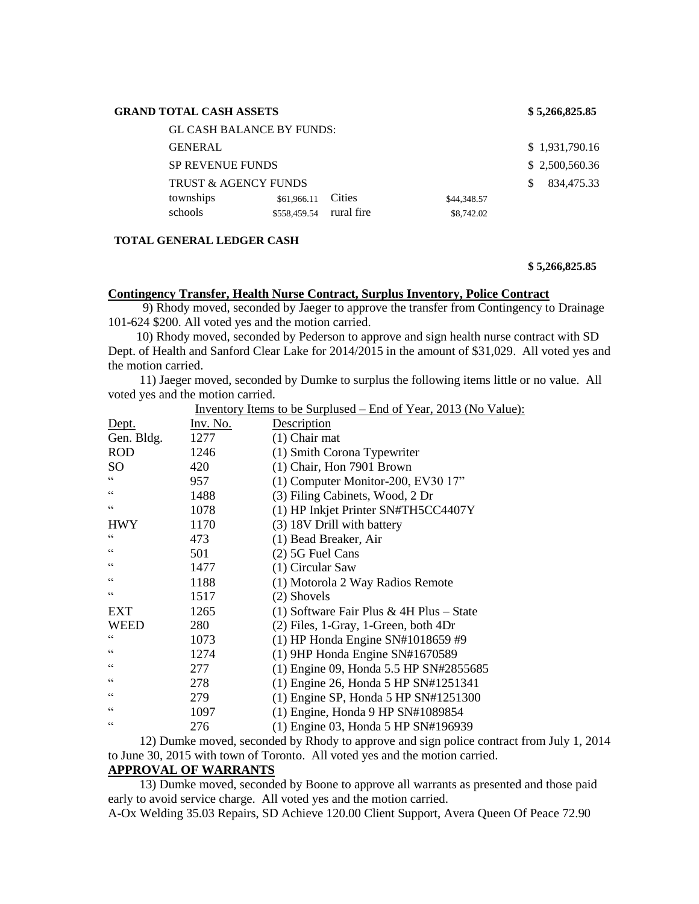| <b>GL CASH BALANCE BY FUNDS:</b>                         |                |
|----------------------------------------------------------|----------------|
| <b>GENERAL</b>                                           | \$1,931,790.16 |
| <b>SP REVENUE FUNDS</b>                                  | \$2,500,560.36 |
| <b>TRUST &amp; AGENCY FUNDS</b>                          | 834,475.33     |
| townships<br><b>Cities</b><br>\$61,966.11<br>\$44,348.57 |                |
| schools<br>rural fire<br>\$558,459.54<br>\$8,742.02      |                |

#### **TOTAL GENERAL LEDGER CASH**

**\$ 5,266,825.85**

#### **Contingency Transfer, Health Nurse Contract, Surplus Inventory, Police Contract**

 9) Rhody moved, seconded by Jaeger to approve the transfer from Contingency to Drainage 101-624 \$200. All voted yes and the motion carried.

 10) Rhody moved, seconded by Pederson to approve and sign health nurse contract with SD Dept. of Health and Sanford Clear Lake for 2014/2015 in the amount of \$31,029. All voted yes and the motion carried.

 11) Jaeger moved, seconded by Dumke to surplus the following items little or no value. All voted yes and the motion carried.

| <u>Inventory Items to be Surplused – End of Year, 2013 (No Value):</u> |          |                                          |  |
|------------------------------------------------------------------------|----------|------------------------------------------|--|
| Dept.                                                                  | Inv. No. | Description                              |  |
| Gen. Bldg.                                                             | 1277     | $(1)$ Chair mat                          |  |
| <b>ROD</b>                                                             | 1246     | (1) Smith Corona Typewriter              |  |
| SO <sub>1</sub>                                                        | 420      | (1) Chair, Hon 7901 Brown                |  |
| C C                                                                    | 957      | (1) Computer Monitor-200, EV30 17"       |  |
| $\subset \subset$                                                      | 1488     | (3) Filing Cabinets, Wood, 2 Dr          |  |
| C C                                                                    | 1078     | (1) HP Inkjet Printer SN#TH5CC4407Y      |  |
| <b>HWY</b>                                                             | 1170     | (3) 18V Drill with battery               |  |
| $\subset \subset$                                                      | 473      | (1) Bead Breaker, Air                    |  |
| C                                                                      | 501      | (2) 5G Fuel Cans                         |  |
| $\subset \subset$                                                      | 1477     | (1) Circular Saw                         |  |
| C                                                                      | 1188     | (1) Motorola 2 Way Radios Remote         |  |
| $\zeta$ $\zeta$                                                        | 1517     | (2) Shovels                              |  |
| <b>EXT</b>                                                             | 1265     | (1) Software Fair Plus & 4H Plus – State |  |
| <b>WEED</b>                                                            | 280      | $(2)$ Files, 1-Gray, 1-Green, both 4Dr   |  |
| C C                                                                    | 1073     | (1) HP Honda Engine SN#1018659 #9        |  |
| C                                                                      | 1274     | $(1)$ 9HP Honda Engine SN#1670589        |  |
| $\subset \subset$                                                      | 277      | (1) Engine 09, Honda 5.5 HP SN#2855685   |  |
| C                                                                      | 278      | (1) Engine 26, Honda 5 HP SN#1251341     |  |
| C                                                                      | 279      | $(1)$ Engine SP, Honda 5 HP SN#1251300   |  |
| C                                                                      | 1097     | (1) Engine, Honda 9 HP SN#1089854        |  |
| C                                                                      | 276      | (1) Engine 03, Honda 5 HP SN#196939      |  |

 12) Dumke moved, seconded by Rhody to approve and sign police contract from July 1, 2014 to June 30, 2015 with town of Toronto. All voted yes and the motion carried.

#### **APPROVAL OF WARRANTS**

 13) Dumke moved, seconded by Boone to approve all warrants as presented and those paid early to avoid service charge. All voted yes and the motion carried.

A-Ox Welding 35.03 Repairs, SD Achieve 120.00 Client Support, Avera Queen Of Peace 72.90